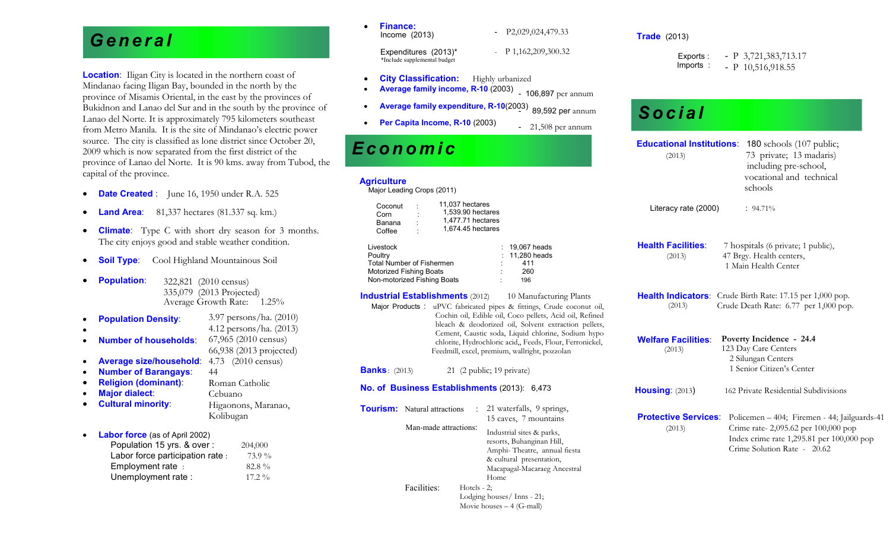# *<sup>G</sup> <sup>e</sup> <sup>n</sup> <sup>e</sup> <sup>r</sup> <sup>a</sup> <sup>l</sup>*

**Location**: Iligan City is located in the northern coast of Mindanao facing Iligan Bay, bounded in the north by the province of Misamis Oriental, in the east by the provinces of Bukidnon and Lanao del Sur and in the south by the province of Lanao del Norte. It is approximately 795 kilometers southeast from Metro Manila. It is the site of Mindanao's electric power source. The city is classified as lone district since October 20, 2009 which is now separated from the first district of the province of Lanao del Norte. It is 90 kms. away from Tubod, the capital of the province.

- $\bullet$ **Date Created** : June 16, 1950 under R.A. 525
- •**Land Area**: 81,337 hectares (81.337 sq. km.)
- $\bullet$  **Climate**: Type C with short dry season for 3 months. The city enjoys good and stable weather condition.
- •**Soil Type:** Cool Highland Mountainous Soil
- • **Population**: Average Growth Rate: 1.25% 322,821 (2010 census) 335,079 (2013 Projected)
- • **Population Density**: •• **Number of households**: 3.97 persons/ha. (2010) 4.12 persons/ha. (2013) 67,965 (2010 census) 66,938 (2013 projected)
- • **Average size/household**: 4.73 (2010 census) 44
- •**Number of Barangays**:
- • **Religion (dominant)**: Roman Catholic
- •**Major dialect**:

- •**Cultural minority**:
- Cebuano Higaonons, Maranao, Kolibugan

| $\bullet$ | Labor force (as of April 2002)   |          |
|-----------|----------------------------------|----------|
|           | Population 15 yrs. & over:       | 204,000  |
|           | Labor force participation rate : | 73.9%    |
|           | Employment rate:                 | $82.8\%$ |
|           | Unemployment rate:               | $17.2\%$ |

• **Finance:** Income (2013)

> Expenditures (2013)\* \*Include supplemental budget

- •
- **City Classification:** Highly urbanized **Average family income, R-10** (2003) 106,897 per annum •

-

P2,029,024,479.33

- P 1,162,209,300.32

- **Average family expenditure, R-10**(2003) 89,592 per annum
- **Per Capita Income, R-10** (2003) - 21,508 per annum

# *<sup>E</sup> <sup>c</sup> <sup>o</sup> <sup>n</sup> <sup>o</sup> <sup>m</sup> <sup>i</sup> <sup>c</sup>*

### **Agriculture**

•

•

Major Leading Crops (2011)

| Coconut<br>Corn<br>Banana<br>Coffee | ٠<br>٠<br>٠<br>٠ | 11,037 hectares<br>1,539.90 hectares<br>1,477.71 hectares<br>1,674.45 hectares |  |                  |  |
|-------------------------------------|------------------|--------------------------------------------------------------------------------|--|------------------|--|
| Livestock                           |                  |                                                                                |  | 19,067 heads     |  |
| Poultry                             |                  |                                                                                |  | 11,280 heads     |  |
| <b>Total Number of Fishermen</b>    |                  |                                                                                |  | 411              |  |
| Motorized Fishing Boats             |                  |                                                                                |  | 260              |  |
| Non-motorized Fishing Boats         |                  |                                                                                |  | 196              |  |
|                                     |                  | <b>Industrial Establishments (2012)</b>                                        |  | 10 Manufacturing |  |

10 Manufacturing Plants Major Products : uPVC fabricated pipes & fittings, Crude coconut oil, Cochin oil, Edible oil, Coco pellets, Acid oil, Refined bleach & deodorized oil, Solvent extraction pellets, Cement, Caustic soda, Liquid chlorine, Sodium hypo chlorite, Hydrochloric acid,, Feeds, Flour, Ferronickel, Feedmill, excel, premium, wallright, pozzolan

**Banks**: (2013) 21 (2 public; 19 private)

### **No. of Business Establishments** (2013): 6,473

**Tourism:** Natural attractions : 21 waterfalls, 9 springs, Man-made attractions: Facilities:Industrial sites & parks, resorts, Buhanginan Hill, Amphi- Theatre, annual fiesta & cultural presentation, Macapagal-Macaraeg Ancestral Home 15 caves, 7 mountainsHotels - 2; Lodging houses/ Inns - 21; Movie houses – 4 (G-mall)

## **Trade** (2013)

 Exports : **Imports** : - P 3,721,383,713.17 - P 10,516,918.55

# *<sup>S</sup> <sup>o</sup> <sup>c</sup> <sup>i</sup> <sup>a</sup> <sup>l</sup>*

|                                                                  | <b>Educational Institutions:</b><br>(2013) | 180 schools $(107$ public;<br>73 private; 13 madaris)<br>including pre-school,<br>vocational and technical<br>schools                                            |
|------------------------------------------------------------------|--------------------------------------------|------------------------------------------------------------------------------------------------------------------------------------------------------------------|
|                                                                  | Literacy rate (2000)                       | $: 94.71\%$                                                                                                                                                      |
|                                                                  | <b>Health Facilities:</b><br>(2013)        | 7 hospitals (6 private; 1 public),<br>47 Brgy. Health centers,<br>1 Main Health Center                                                                           |
| ng Plants<br>e coconut oil,<br>d oil, Refined<br>action pellets, | (2013)                                     | <b>Health Indicators:</b> Crude Birth Rate: 17.15 per 1,000 pop.<br>Crude Death Rate: 6.77 per 1,000 pop.                                                        |
| Sodium hypo<br>; Ferronickel,<br>lan                             | <b>Welfare Facilities:</b><br>(2013)       | Poverty Incidence - 24.4<br>123 Day Care Centers<br>2 Silungan Centers<br>1 Senior Citizen's Center                                                              |
|                                                                  | <b>Housing: (2013)</b>                     | 162 Private Residential Subdivisions                                                                                                                             |
| 3s,<br>S<br>l fiesta                                             | <b>Protective Services:</b><br>(2013)      | Policemen - 404; Firemen - 44; Jailguards-41<br>Crime rate- 2,095.62 per 100,000 pop<br>Index crime rate 1,295.81 per 100,000 pop<br>Crime Solution Rate - 20.62 |
| ıcestral                                                         |                                            |                                                                                                                                                                  |